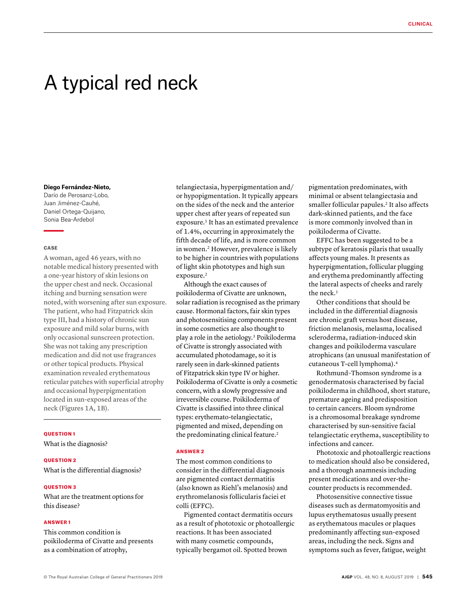# A typical red neck

#### **Diego Fernández-Nieto,**

Darío de Perosanz-Lobo, Juan Jiménez-Cauhé, Daniel Ortega-Quijano, Sonia Bea-Ardebol

# **CASE**

A woman, aged 46 years, with no notable medical history presented with a one-year history of skin lesions on the upper chest and neck. Occasional itching and burning sensation were noted, with worsening after sun exposure. The patient, who had Fitzpatrick skin type III, had a history of chronic sun exposure and mild solar burns, with only occasional sunscreen protection. She was not taking any prescription medication and did not use fragrances or other topical products. Physical examination revealed erythematous reticular patches with superficial atrophy and occasional hyperpigmentation located in sun-exposed areas of the neck (Figures 1A, 1B).

#### QUESTION 1

What is the diagnosis?

### QUESTION 2

What is the differential diagnosis?

# **OUESTION 3**

What are the treatment options for this disease?

# ANSWER 1

This common condition is poikiloderma of Civatte and presents as a combination of atrophy,

telangiectasia, hyperpigmentation and/ or hypopigmentation. It typically appears on the sides of the neck and the anterior upper chest after years of repeated sun exposure.<sup>1</sup> It has an estimated prevalence of 1.4%, occurring in approximately the fifth decade of life, and is more common in women.2 However, prevalence is likely to be higher in countries with populations of light skin phototypes and high sun exposure.<sup>2</sup>

Although the exact causes of poikiloderma of Civatte are unknown, solar radiation is recognised as the primary cause. Hormonal factors, fair skin types and photosensitising components present in some cosmetics are also thought to play a role in the aetiology.3 Poikiloderma of Civatte is strongly associated with accumulated photodamage, so it is rarely seen in dark-skinned patients of Fitzpatrick skin type IV or higher. Poikiloderma of Civatte is only a cosmetic concern, with a slowly progressive and irreversible course. Poikiloderma of Civatte is classified into three clinical types: erythemato-telangiectatic, pigmented and mixed, depending on the predominating clinical feature.<sup>2</sup>

# ANSWER 2

The most common conditions to consider in the differential diagnosis are pigmented contact dermatitis (also known as Riehl's melanosis) and erythromelanosis follicularis faciei et colli (EFFC).

Pigmented contact dermatitis occurs as a result of phototoxic or photoallergic reactions. It has been associated with many cosmetic compounds, typically bergamot oil. Spotted brown

pigmentation predominates, with minimal or absent telangiectasia and smaller follicular papules.<sup>2</sup> It also affects dark-skinned patients, and the face is more commonly involved than in poikiloderma of Civatte.

EFFC has been suggested to be a subtype of keratosis pilaris that usually affects young males. It presents as hyperpigmentation, follicular plugging and erythema predominantly affecting the lateral aspects of cheeks and rarely the neck.<sup>1</sup>

Other conditions that should be included in the differential diagnosis are chronic graft versus host disease, friction melanosis, melasma, localised scleroderma, radiation-induced skin changes and poikiloderma vasculare atrophicans (an unusual manifestation of cutaneous T-cell lymphoma).4

Rothmund–Thomson syndrome is a genodermatosis characterised by facial poikiloderma in childhood, short stature, premature ageing and predisposition to certain cancers. Bloom syndrome is a chromosomal breakage syndrome characterised by sun-sensitive facial telangiectatic erythema, susceptibility to infections and cancer.

Phototoxic and photoallergic reactions to medication should also be considered, and a thorough anamnesis including present medications and over-thecounter products is recommended.

Photosensitive connective tissue diseases such as dermatomyositis and lupus erythematosus usually present as erythematous macules or plaques predominantly affecting sun-exposed areas, including the neck. Signs and symptoms such as fever, fatigue, weight